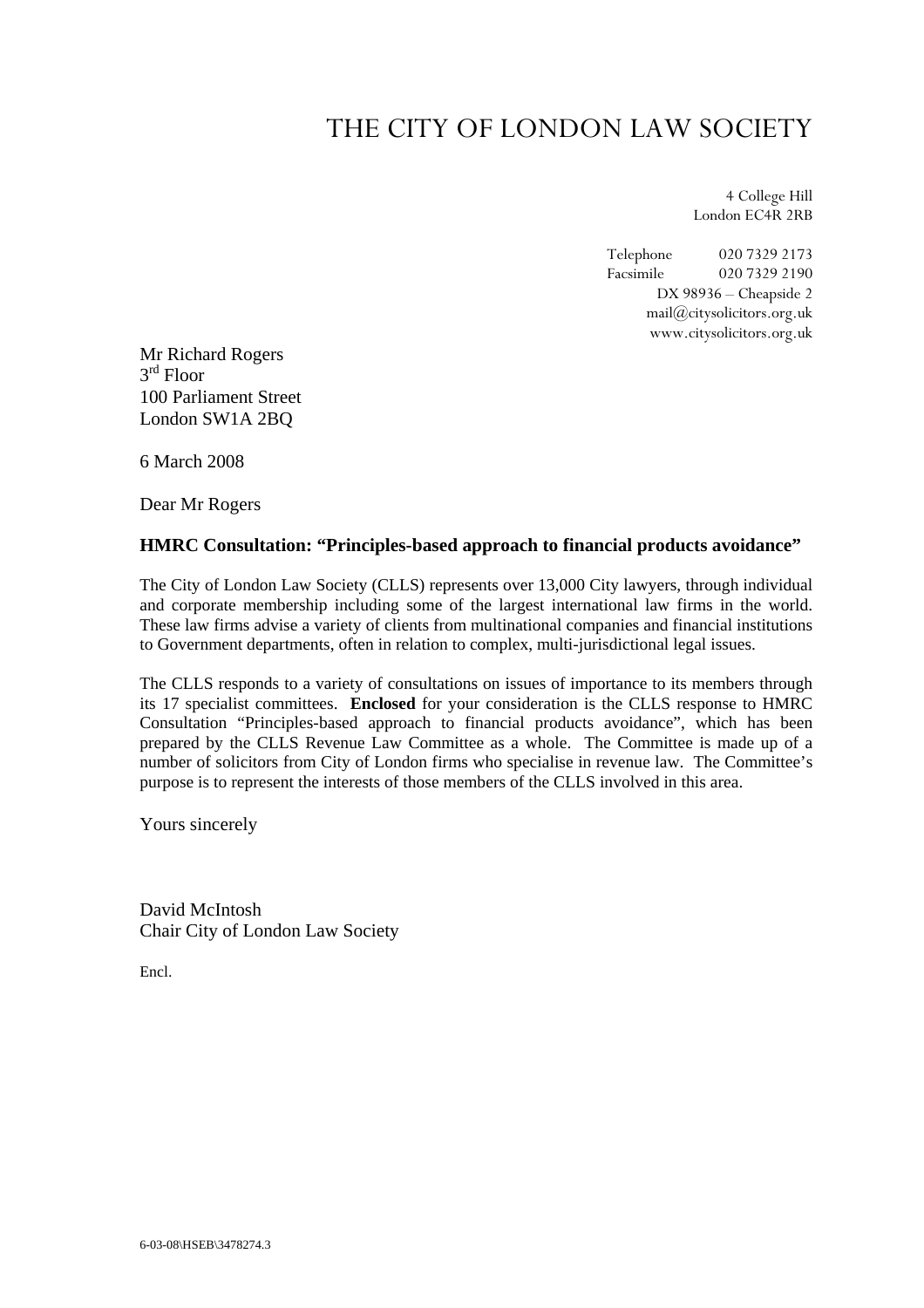# THE CITY OF LONDON LAW SOCIETY

4 College Hill London EC4R 2RB

Telephone 020 7329 2173 Facsimile 020 7329 2190 DX 98936 – Cheapside 2 mail@citysolicitors.org.uk www.citysolicitors.org.uk

Mr Richard Rogers 3rd Floor 100 Parliament Street London SW1A 2BQ

6 March 2008

Dear Mr Rogers

# **HMRC Consultation: "Principles-based approach to financial products avoidance"**

The City of London Law Society (CLLS) represents over 13,000 City lawyers, through individual and corporate membership including some of the largest international law firms in the world. These law firms advise a variety of clients from multinational companies and financial institutions to Government departments, often in relation to complex, multi-jurisdictional legal issues.

The CLLS responds to a variety of consultations on issues of importance to its members through its 17 specialist committees. **Enclosed** for your consideration is the CLLS response to HMRC Consultation "Principles-based approach to financial products avoidance", which has been prepared by the CLLS Revenue Law Committee as a whole. The Committee is made up of a number of solicitors from City of London firms who specialise in revenue law. The Committee's purpose is to represent the interests of those members of the CLLS involved in this area.

Yours sincerely

David McIntosh Chair City of London Law Society

Encl.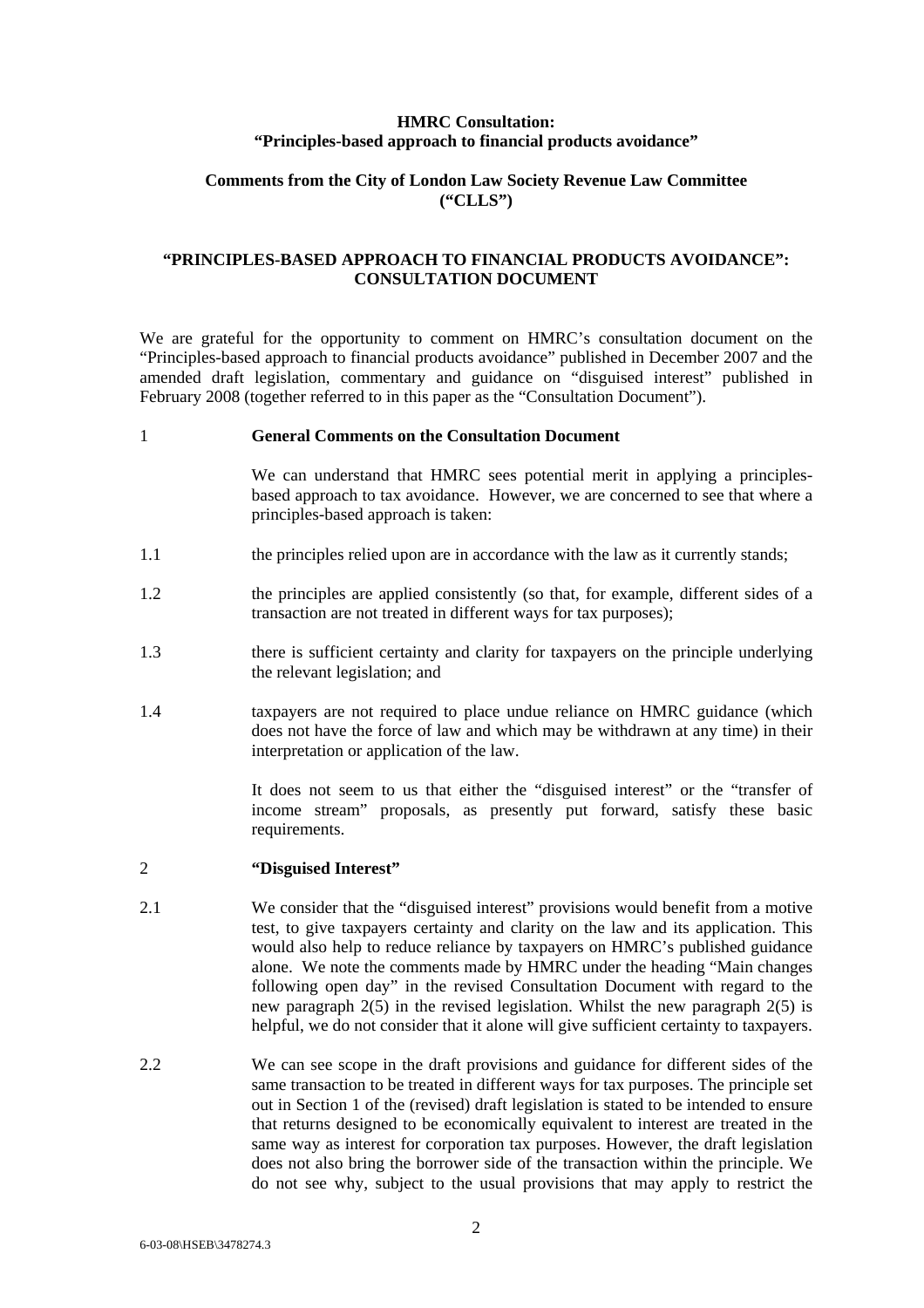## **HMRC Consultation: "Principles-based approach to financial products avoidance"**

# **Comments from the City of London Law Society Revenue Law Committee ("CLLS")**

# **"PRINCIPLES-BASED APPROACH TO FINANCIAL PRODUCTS AVOIDANCE": CONSULTATION DOCUMENT**

We are grateful for the opportunity to comment on HMRC's consultation document on the "Principles-based approach to financial products avoidance" published in December 2007 and the amended draft legislation, commentary and guidance on "disguised interest" published in February 2008 (together referred to in this paper as the "Consultation Document").

#### 1 **General Comments on the Consultation Document**

We can understand that HMRC sees potential merit in applying a principlesbased approach to tax avoidance. However, we are concerned to see that where a principles-based approach is taken:

- 1.1 the principles relied upon are in accordance with the law as it currently stands;
- 1.2 the principles are applied consistently (so that, for example, different sides of a transaction are not treated in different ways for tax purposes);
- 1.3 there is sufficient certainty and clarity for taxpayers on the principle underlying the relevant legislation; and
- 1.4 taxpayers are not required to place undue reliance on HMRC guidance (which does not have the force of law and which may be withdrawn at any time) in their interpretation or application of the law.

It does not seem to us that either the "disguised interest" or the "transfer of income stream" proposals, as presently put forward, satisfy these basic requirements.

#### 2 **"Disguised Interest"**

- 2.1 We consider that the "disguised interest" provisions would benefit from a motive test, to give taxpayers certainty and clarity on the law and its application. This would also help to reduce reliance by taxpayers on HMRC's published guidance alone. We note the comments made by HMRC under the heading "Main changes following open day" in the revised Consultation Document with regard to the new paragraph 2(5) in the revised legislation. Whilst the new paragraph 2(5) is helpful, we do not consider that it alone will give sufficient certainty to taxpayers.
- 2.2 We can see scope in the draft provisions and guidance for different sides of the same transaction to be treated in different ways for tax purposes. The principle set out in Section 1 of the (revised) draft legislation is stated to be intended to ensure that returns designed to be economically equivalent to interest are treated in the same way as interest for corporation tax purposes. However, the draft legislation does not also bring the borrower side of the transaction within the principle. We do not see why, subject to the usual provisions that may apply to restrict the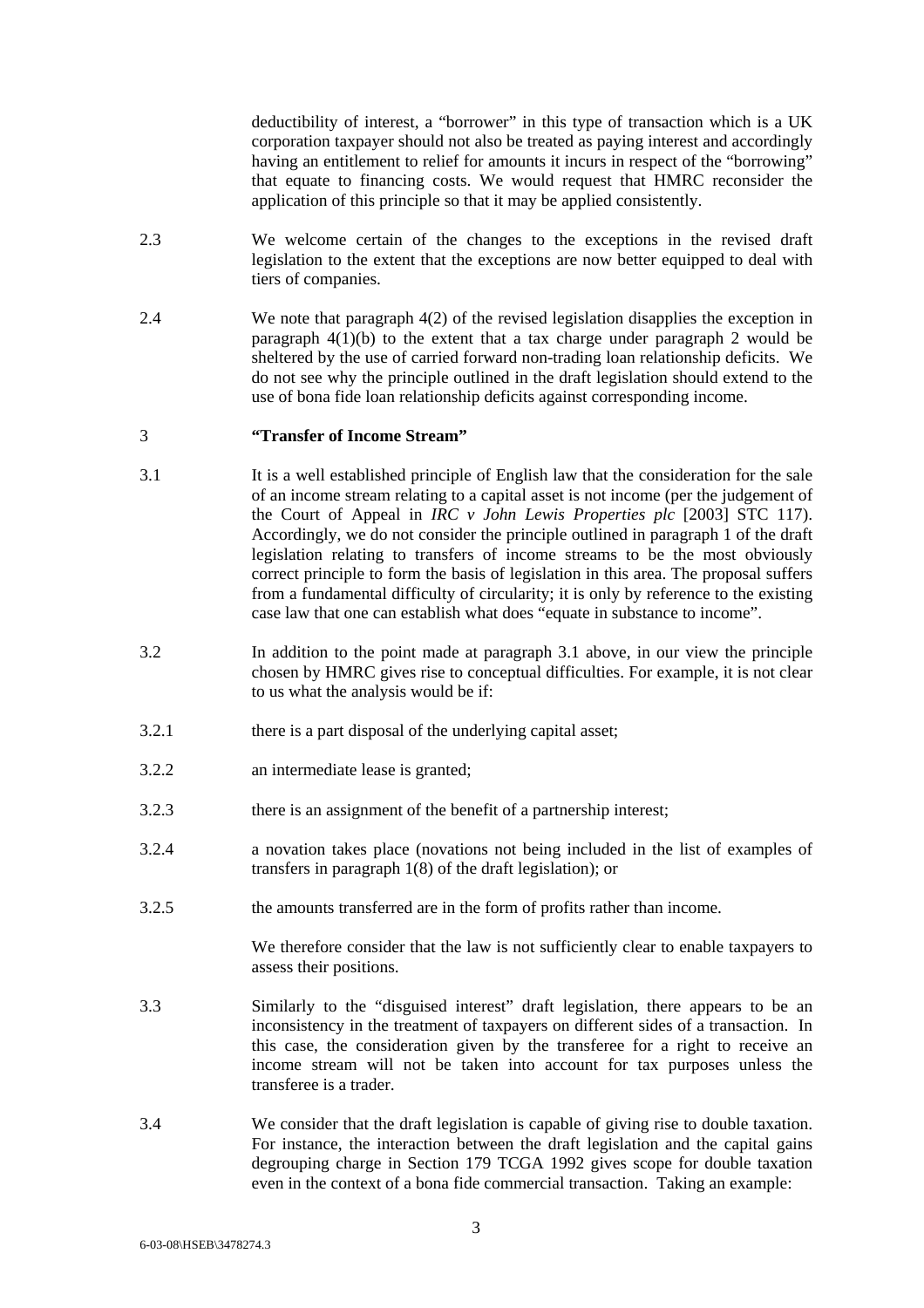deductibility of interest, a "borrower" in this type of transaction which is a UK corporation taxpayer should not also be treated as paying interest and accordingly having an entitlement to relief for amounts it incurs in respect of the "borrowing" that equate to financing costs. We would request that HMRC reconsider the application of this principle so that it may be applied consistently.

- 2.3 We welcome certain of the changes to the exceptions in the revised draft legislation to the extent that the exceptions are now better equipped to deal with tiers of companies.
- 2.4 We note that paragraph 4(2) of the revised legislation disapplies the exception in paragraph  $4(1)(b)$  to the extent that a tax charge under paragraph 2 would be sheltered by the use of carried forward non-trading loan relationship deficits. We do not see why the principle outlined in the draft legislation should extend to the use of bona fide loan relationship deficits against corresponding income.

#### 3 **"Transfer of Income Stream"**

- 3.1 It is a well established principle of English law that the consideration for the sale of an income stream relating to a capital asset is not income (per the judgement of the Court of Appeal in *IRC v John Lewis Properties plc* [2003] STC 117). Accordingly, we do not consider the principle outlined in paragraph 1 of the draft legislation relating to transfers of income streams to be the most obviously correct principle to form the basis of legislation in this area. The proposal suffers from a fundamental difficulty of circularity; it is only by reference to the existing case law that one can establish what does "equate in substance to income".
- 3.2 In addition to the point made at paragraph 3.1 above, in our view the principle chosen by HMRC gives rise to conceptual difficulties. For example, it is not clear to us what the analysis would be if:
- 3.2.1 there is a part disposal of the underlying capital asset;
- 3.2.2 an intermediate lease is granted;
- 3.2.3 there is an assignment of the benefit of a partnership interest;
- 3.2.4 a novation takes place (novations not being included in the list of examples of transfers in paragraph 1(8) of the draft legislation); or
- 3.2.5 the amounts transferred are in the form of profits rather than income.

We therefore consider that the law is not sufficiently clear to enable taxpayers to assess their positions.

- 3.3 Similarly to the "disguised interest" draft legislation, there appears to be an inconsistency in the treatment of taxpayers on different sides of a transaction. In this case, the consideration given by the transferee for a right to receive an income stream will not be taken into account for tax purposes unless the transferee is a trader.
- 3.4 We consider that the draft legislation is capable of giving rise to double taxation. For instance, the interaction between the draft legislation and the capital gains degrouping charge in Section 179 TCGA 1992 gives scope for double taxation even in the context of a bona fide commercial transaction. Taking an example: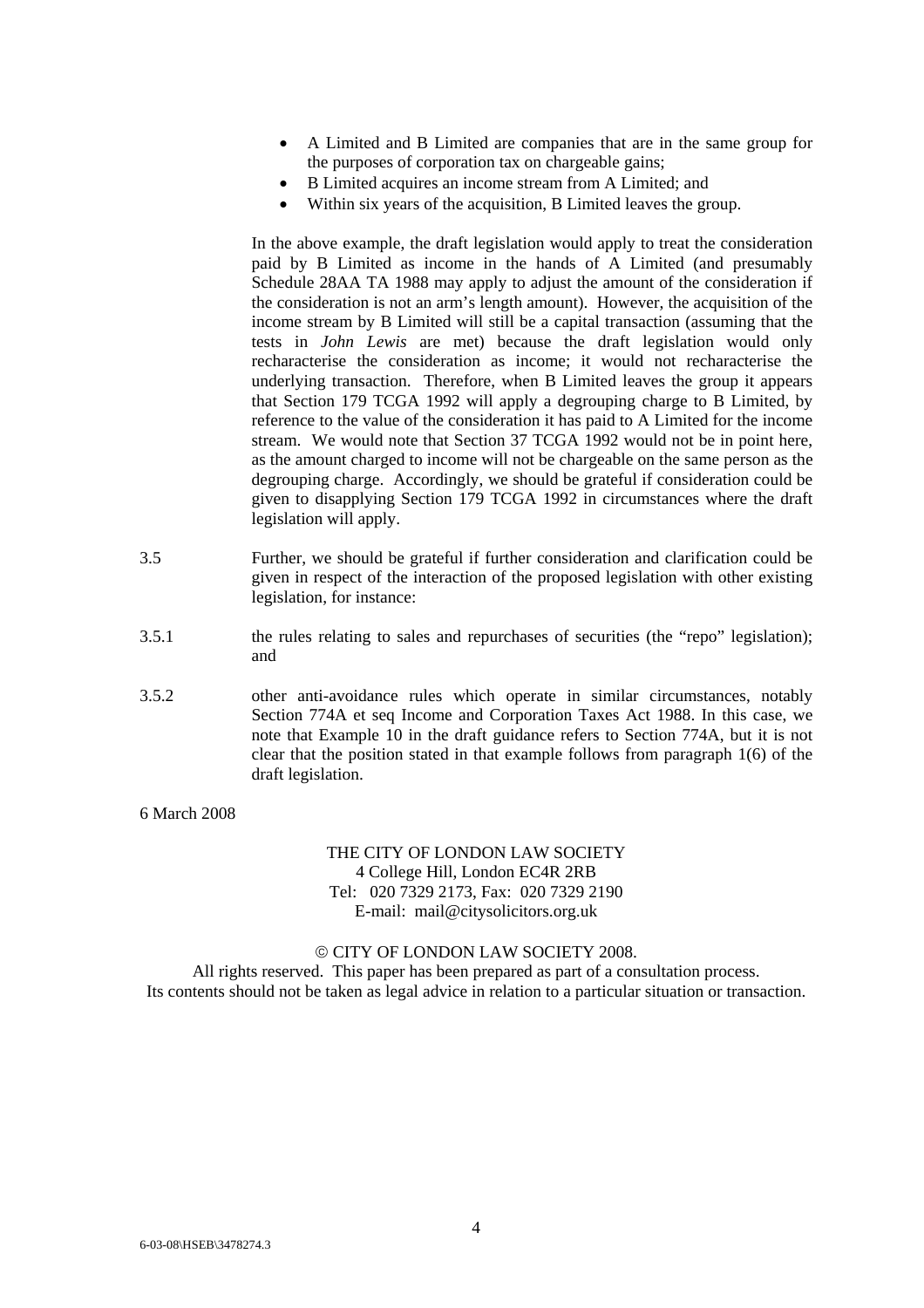- A Limited and B Limited are companies that are in the same group for the purposes of corporation tax on chargeable gains;
- B Limited acquires an income stream from A Limited; and
- Within six years of the acquisition, B Limited leaves the group.

In the above example, the draft legislation would apply to treat the consideration paid by B Limited as income in the hands of A Limited (and presumably Schedule 28AA TA 1988 may apply to adjust the amount of the consideration if the consideration is not an arm's length amount). However, the acquisition of the income stream by B Limited will still be a capital transaction (assuming that the tests in *John Lewis* are met) because the draft legislation would only recharacterise the consideration as income; it would not recharacterise the underlying transaction. Therefore, when B Limited leaves the group it appears that Section 179 TCGA 1992 will apply a degrouping charge to B Limited, by reference to the value of the consideration it has paid to A Limited for the income stream. We would note that Section 37 TCGA 1992 would not be in point here, as the amount charged to income will not be chargeable on the same person as the degrouping charge. Accordingly, we should be grateful if consideration could be given to disapplying Section 179 TCGA 1992 in circumstances where the draft legislation will apply.

- 3.5 Further, we should be grateful if further consideration and clarification could be given in respect of the interaction of the proposed legislation with other existing legislation, for instance:
- 3.5.1 the rules relating to sales and repurchases of securities (the "repo" legislation); and
- 3.5.2 other anti-avoidance rules which operate in similar circumstances, notably Section 774A et seq Income and Corporation Taxes Act 1988. In this case, we note that Example 10 in the draft guidance refers to Section 774A, but it is not clear that the position stated in that example follows from paragraph 1(6) of the draft legislation.

## 6 March 2008

## THE CITY OF LONDON LAW SOCIETY 4 College Hill, London EC4R 2RB Tel: 020 7329 2173, Fax: 020 7329 2190 E-mail: mail@citysolicitors.org.uk

#### © CITY OF LONDON LAW SOCIETY 2008.

All rights reserved. This paper has been prepared as part of a consultation process. Its contents should not be taken as legal advice in relation to a particular situation or transaction.